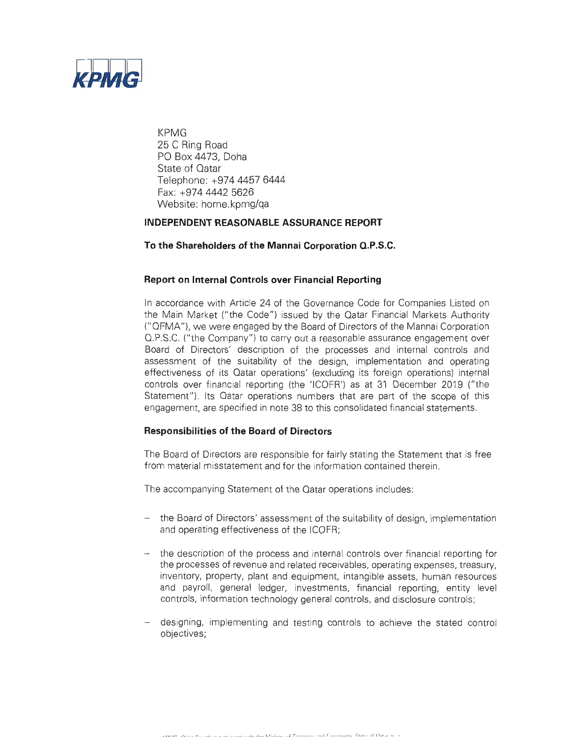

KPMG 25 C Ring Road PO Box 4473, Doha State of Qatar Telephone: +974 4457 6444 Fax: +974 4442 5626 Website: home.kpmg/qa

### **INDEPENDENT REASONABLE ASSURANCE REPORT**

#### **To the Shareholders of the Mannai Corporation Q.P.S.C.**

#### **Report on Internal Controls over Financial Reporting**

In accordance with Article 24 of the Governance Code for Companies Listed on the Main Market ("the Code") issued by the Qatar Financial Markets Authority ("QFMA"), we were engaged by the Board of Directors of the Mannai Corporation Q.P.S.C. ("the Company") to carry out a reasonable assurance engagement over Board of Directors' description of the processes and internal controls and assessment of the suitability of the design, implementation and operating effectiveness of its Qatar operations' (excluding its foreign operations) internal controls over financial reporting (the 'ICOFR') as at 31 December 2019 ("the Statement"). Its Qatar operations numbers that are part of the scope of this engagement, are specified in note 38 to this consolidated financial statements.

### **Responsibilities of the Board of Directors**

The Board of Directors are responsible for fairly stating the Statement that is free from material misstatement and for the information contained therein.

The accompanying Statement of the Qatar operations includes:

- the Board of Directors' assessment of the suitability of design, implementation and operating effectiveness of the ICOFR;
- the description of the process and internal controls over financial reporting for the processes of revenue and related receivables, operating expenses, treasury, inventory, property, plant and equipment, intangible assets, human resources and payroll, general ledger, investments, financial reporting, entity level controls, information technology general controls, and disclosure controls;
- designing, implementing and testing controls to achieve the stated control objectives;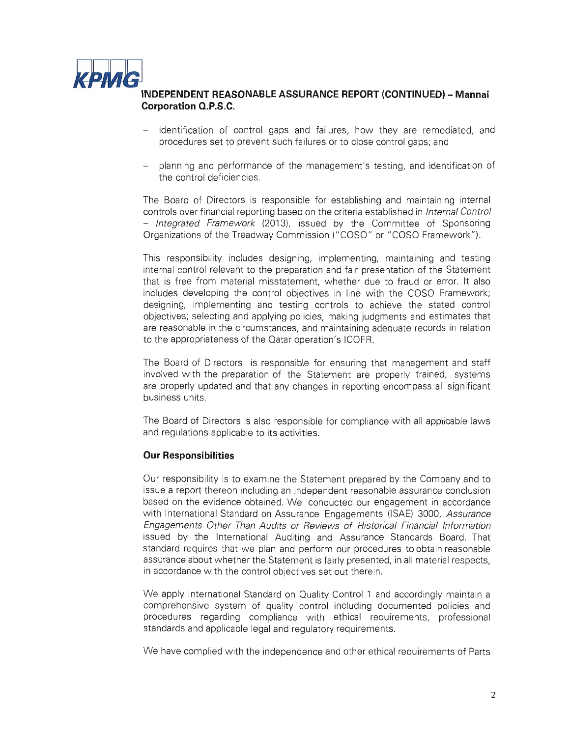

# ~ **INDEPENDENT REASONABLE ASSURANCE REPORT (CONTINUED) - Mannai Corporation Q.P.S.C.**

- identification of control gaps and failures, how they are remediated, and procedures set to prevent such failures or to close control gaps; and
- planning and performance of the management's testing, and identification of the control deficiencies.

The Board of Directors is responsible for establishing and maintaining internal controls over financial reporting based on the criteria established in Internal Control - Integrated Framework (2013), issued by the Committee of Sponsoring Organizations of the Treadway Commission ("COSO" or "COSO Framework").

This responsibility includes designing, implementing, maintaining and testing internal control relevant to the preparation and fair presentation of the Statement that is free from material misstatement, whether due to fraud or error. It also includes developing the control objectives in line with the COSO Framework; designing, implementing and testing controls to achieve the stated control objectives; selecting and applying policies, making judgments and estimates that are reasonable in the circumstances, and maintaining adequate records in relation to the appropriateness of the Qatar operation's ICOFR.

The Board of Directors is responsible for ensuring that management and staff involved with the preparation of the Statement are properly trained, systems are properly updated and that any changes in reporting encompass all significant business units.

The Board of Directors is also responsible for compliance with all applicable laws and regulations applicable to its activities.

### **Our Responsibilities**

Our responsibility is to examine the Statement prepared by the Company and to issue a report thereon including an independent reasonable assurance conclusion based on the evidence obtained. We conducted our engagement in accordance with International Standard on Assurance Engagements (ISAE) 3000, Assurance Engagements Other Than Audits or Reviews of Historical Financial Information issued by the International Auditing and Assurance Standards Board. That standard requires that we plan and perform our procedures to obtain reasonable assurance about whether the Statement is fairly presented, in all material respects, in accordance with the control objectives set out therein.

We apply International Standard on Quality Control 1 and accordingly maintain a comprehensive system of quality control including documented policies and procedures regarding compliance with ethical requirements, professional standards and applicable legal and regulatory requirements.

We have complied with the independence and other ethical requirements of Parts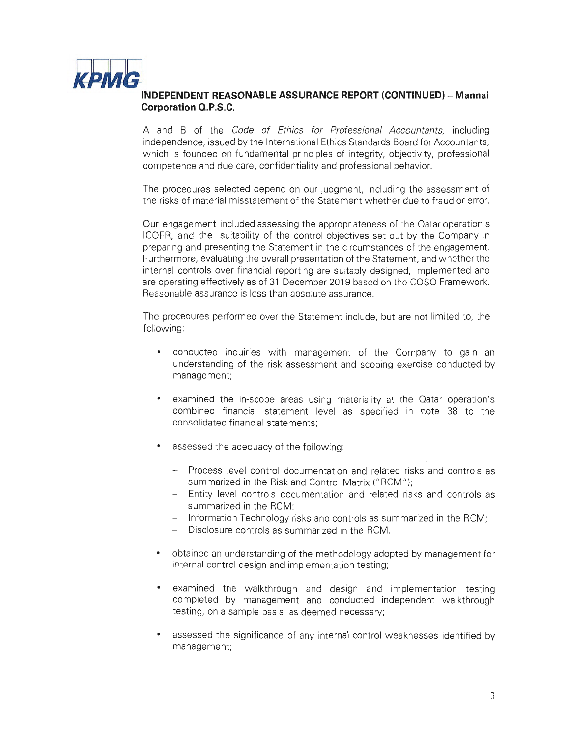

# ~ **INDEPENDENT REASONABLE ASSURANCE REPORT (CONTINUED) - Mannai Corporation O.P.S.C.**

A and B of the Code of Ethics for Professional Accountants, including independence, issued by the International Ethics Standards Board for Accountants, which is founded on fundamental principles of integrity, objectivity, professional competence and due care, confidentiality and professional behavior.

The procedures selected depend on our judgment, including the assessment of the risks of material misstatement of the Statement whether due to fraud or error.

Our engagement included assessing the appropriateness of the Qatar operation's ICOFR, and the suitability of the control objectives set out by the Company in preparing and presenting the Statement in the circumstances of the engagement. Furthermore, evaluating the overall presentation of the Statement, and whether the internal controls over financial reporting are suitably designed, implemented and are operating effectively as of 31 December 2019 based on the COSO Framework. Reasonable assurance is less than absolute assurance.

The procedures performed over the Statement include, but are not limited to, the following:

- conducted inquiries with management of the Company to gain an understanding of the risk assessment and scoping exercise conducted by management;
- examined the in-scope areas using materiality at the Qatar operation's combined financial statement level as specified in note 38 to the consolidated financial statements;
- $\bullet$ assessed the adequacy of the following:
	- Process level control documentation and related risks and controls as summarized in the Risk and Control Matrix ("RCM");
	- Entity level controls documentation and related risks and controls as summarized in the RCM;
	- Information Technology risks and controls as summarized in the RCM;
	- Disclosure controls as summarized in the RCM.
- obtained an understanding of the methodology adopted by management for internal control design and implementation testing;
- examined the walkthrough and design and implementation testing completed by management and conducted independent walkthrough testing, on a sample basis, as deemed necessary;
- assessed the significance of any internal control weaknesses identified by management;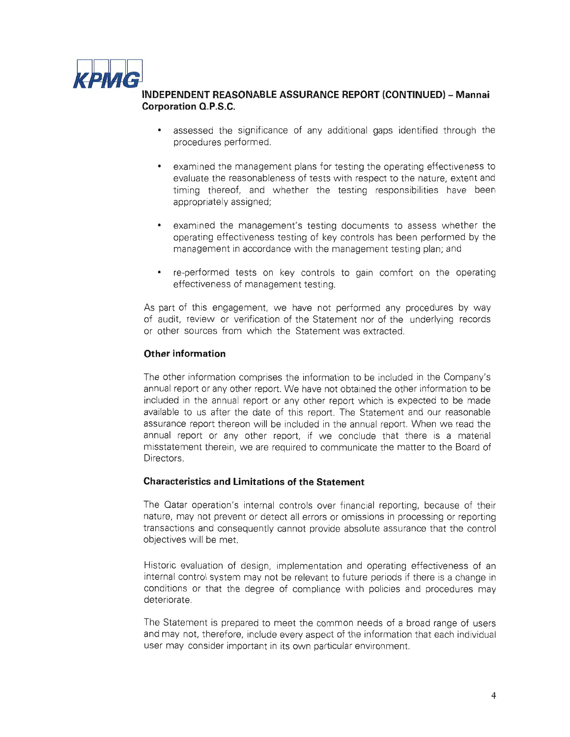

# ~ **INDEPENDENT REASONABLE ASSURANCE REPORT (CONTINUED) - Mannai Corporation O.P.S.C.**

- assessed the significance of any additional gaps identified through the  $\bullet$ procedures performed.
- examined the management plans for testing the operating effectiveness to evaluate the reasonableness of tests with respect to the nature, extent and timing thereof, and whether the testing responsibilities have been appropriately assigned;
- examined the management's testing documents to assess whether the operating effectiveness testing of key controls has been performed by the management in accordance with the management testing plan; and
- re-performed tests on key controls to gain comfort on the operating effectiveness of management testing.

As part of this engagement, we have not performed any procedures by way of audit, review or verification of the Statement nor of the underlying records or other sources from which the Statement was extracted.

### **Other information**

The other information comprises the information to be included in the Company's annual report or any other report. We have not obtained the other information to be included in the annual report or any other report which is expected to be made available to us after the date of this report. The Statement and our reasonable assurance report thereon will be included in the annual report. When we read the annual report or any other report, if we conclude that there is a material misstatement therein, we are required to communicate the matter to the Board of Directors.

### **Characteristics and Limitations of the Statement**

The Qatar operation's internal controls over financial reporting, because of their nature, may not prevent or detect all errors or omissions in processing or reporting transactions and consequently cannot provide absolute assurance that the control objectives will be met.

Historic evaluation of design, implementation and operating effectiveness of an internal control system may not be relevant to future periods if there is a change in conditions or that the degree of compliance with policies and procedures may deteriorate.

The Statement is prepared to meet the common needs of a broad range of users and may not, therefore, include every aspect of the information that each individual user may consider important in its own particular environment.